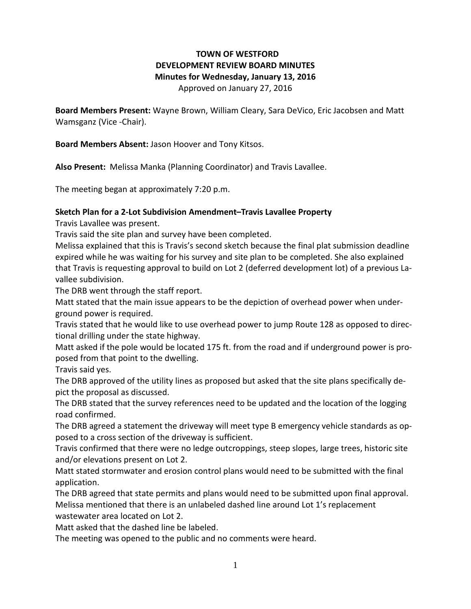## **TOWN OF WESTFORD DEVELOPMENT REVIEW BOARD MINUTES Minutes for Wednesday, January 13, 2016**

Approved on January 27, 2016

**Board Members Present:** Wayne Brown, William Cleary, Sara DeVico, Eric Jacobsen and Matt Wamsganz (Vice -Chair).

**Board Members Absent:** Jason Hoover and Tony Kitsos.

**Also Present:** Melissa Manka (Planning Coordinator) and Travis Lavallee.

The meeting began at approximately 7:20 p.m.

## **Sketch Plan for a 2-Lot Subdivision Amendment–Travis Lavallee Property**

Travis Lavallee was present.

Travis said the site plan and survey have been completed.

Melissa explained that this is Travis's second sketch because the final plat submission deadline expired while he was waiting for his survey and site plan to be completed. She also explained that Travis is requesting approval to build on Lot 2 (deferred development lot) of a previous Lavallee subdivision.

The DRB went through the staff report.

Matt stated that the main issue appears to be the depiction of overhead power when underground power is required.

Travis stated that he would like to use overhead power to jump Route 128 as opposed to directional drilling under the state highway.

Matt asked if the pole would be located 175 ft. from the road and if underground power is proposed from that point to the dwelling.

Travis said yes.

The DRB approved of the utility lines as proposed but asked that the site plans specifically depict the proposal as discussed.

The DRB stated that the survey references need to be updated and the location of the logging road confirmed.

The DRB agreed a statement the driveway will meet type B emergency vehicle standards as opposed to a cross section of the driveway is sufficient.

Travis confirmed that there were no ledge outcroppings, steep slopes, large trees, historic site and/or elevations present on Lot 2.

Matt stated stormwater and erosion control plans would need to be submitted with the final application.

The DRB agreed that state permits and plans would need to be submitted upon final approval. Melissa mentioned that there is an unlabeled dashed line around Lot 1's replacement wastewater area located on Lot 2.

Matt asked that the dashed line be labeled.

The meeting was opened to the public and no comments were heard.